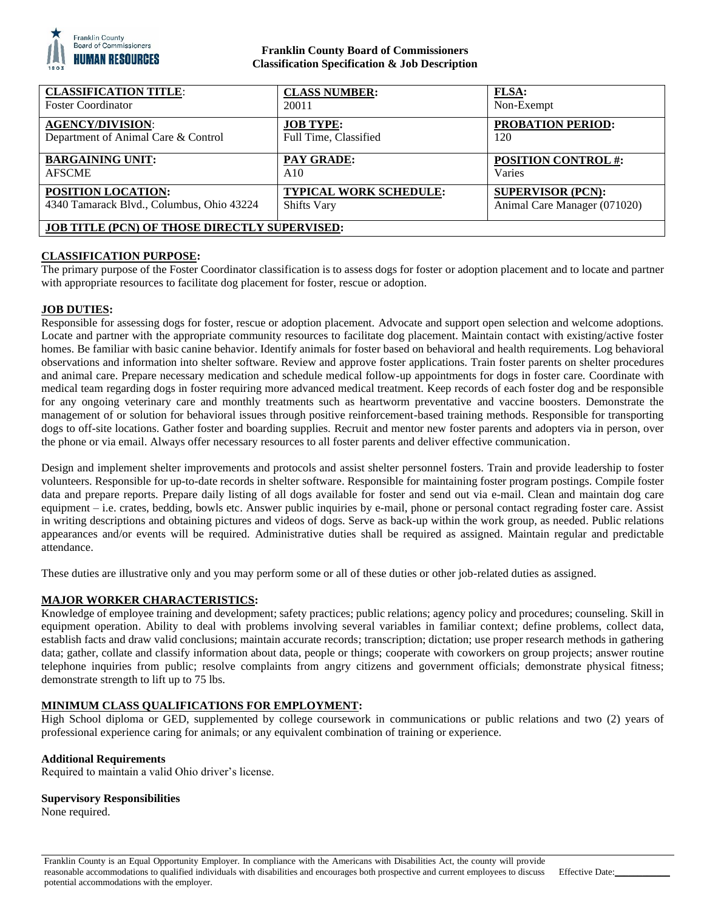

## **Franklin County Board of Commissioners Classification Specification & Job Description**

| <b>CLASSIFICATION TITLE:</b>                         | <b>CLASS NUMBER:</b>          | FLSA:                        |
|------------------------------------------------------|-------------------------------|------------------------------|
| <b>Foster Coordinator</b>                            | 20011                         | Non-Exempt                   |
| <b>AGENCY/DIVISION:</b>                              | <b>JOB TYPE:</b>              | <b>PROBATION PERIOD:</b>     |
| Department of Animal Care & Control                  | Full Time, Classified         | 120                          |
| <b>BARGAINING UNIT:</b>                              | <b>PAY GRADE:</b>             | <b>POSITION CONTROL #:</b>   |
| <b>AFSCME</b>                                        | A10                           | Varies                       |
| <b>POSITION LOCATION:</b>                            | <b>TYPICAL WORK SCHEDULE:</b> | <b>SUPERVISOR (PCN):</b>     |
| 4340 Tamarack Blvd., Columbus, Ohio 43224            | <b>Shifts Vary</b>            | Animal Care Manager (071020) |
| <b>JOB TITLE (PCN) OF THOSE DIRECTLY SUPERVISED:</b> |                               |                              |

# **CLASSIFICATION PURPOSE:**

The primary purpose of the Foster Coordinator classification is to assess dogs for foster or adoption placement and to locate and partner with appropriate resources to facilitate dog placement for foster, rescue or adoption.

## **JOB DUTIES:**

Responsible for assessing dogs for foster, rescue or adoption placement. Advocate and support open selection and welcome adoptions. Locate and partner with the appropriate community resources to facilitate dog placement. Maintain contact with existing/active foster homes. Be familiar with basic canine behavior. Identify animals for foster based on behavioral and health requirements. Log behavioral observations and information into shelter software. Review and approve foster applications. Train foster parents on shelter procedures and animal care. Prepare necessary medication and schedule medical follow-up appointments for dogs in foster care. Coordinate with medical team regarding dogs in foster requiring more advanced medical treatment. Keep records of each foster dog and be responsible for any ongoing veterinary care and monthly treatments such as heartworm preventative and vaccine boosters. Demonstrate the management of or solution for behavioral issues through positive reinforcement-based training methods. Responsible for transporting dogs to off-site locations. Gather foster and boarding supplies. Recruit and mentor new foster parents and adopters via in person, over the phone or via email. Always offer necessary resources to all foster parents and deliver effective communication.

Design and implement shelter improvements and protocols and assist shelter personnel fosters. Train and provide leadership to foster volunteers. Responsible for up-to-date records in shelter software. Responsible for maintaining foster program postings. Compile foster data and prepare reports. Prepare daily listing of all dogs available for foster and send out via e-mail. Clean and maintain dog care equipment – i.e. crates, bedding, bowls etc. Answer public inquiries by e-mail, phone or personal contact regrading foster care. Assist in writing descriptions and obtaining pictures and videos of dogs. Serve as back-up within the work group, as needed. Public relations appearances and/or events will be required. Administrative duties shall be required as assigned. Maintain regular and predictable attendance.

These duties are illustrative only and you may perform some or all of these duties or other job-related duties as assigned.

## **MAJOR WORKER CHARACTERISTICS:**

Knowledge of employee training and development; safety practices; public relations; agency policy and procedures; counseling. Skill in equipment operation. Ability to deal with problems involving several variables in familiar context; define problems, collect data, establish facts and draw valid conclusions; maintain accurate records; transcription; dictation; use proper research methods in gathering data; gather, collate and classify information about data, people or things; cooperate with coworkers on group projects; answer routine telephone inquiries from public; resolve complaints from angry citizens and government officials; demonstrate physical fitness; demonstrate strength to lift up to 75 lbs.

## **MINIMUM CLASS QUALIFICATIONS FOR EMPLOYMENT:**

High School diploma or GED, supplemented by college coursework in communications or public relations and two (2) years of professional experience caring for animals; or any equivalent combination of training or experience.

## **Additional Requirements**

Required to maintain a valid Ohio driver's license.

#### **Supervisory Responsibilities**

None required.

Franklin County is an Equal Opportunity Employer. In compliance with the Americans with Disabilities Act, the county will provide reasonable accommodations to qualified individuals with disabilities and encourages both prospective and current employees to discuss potential accommodations with the employer.